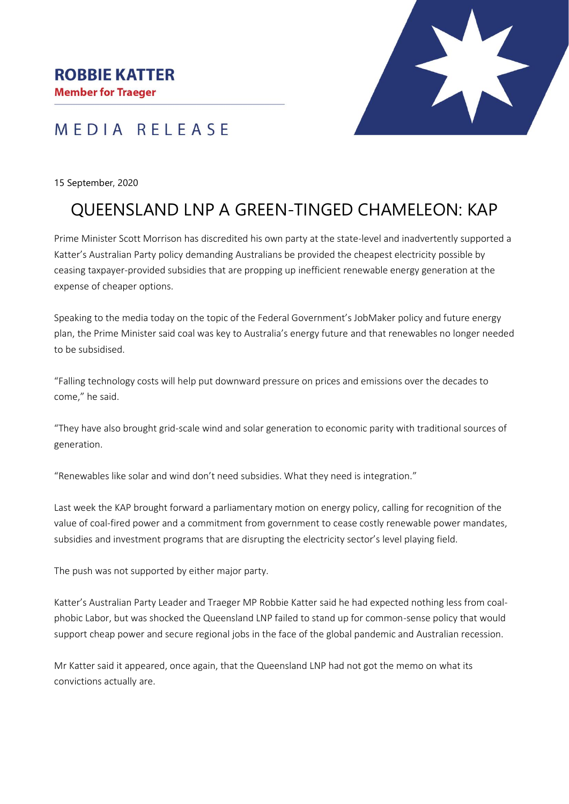**Member for Traeger** 

## MEDIA RELEASE



#### 15 September, 2020

# QUEENSLAND LNP A GREEN-TINGED CHAMELEON: KAP

Prime Minister Scott Morrison has discredited his own party at the state-level and inadvertently supported a Katter's Australian Party policy demanding Australians be provided the cheapest electricity possible by ceasing taxpayer-provided subsidies that are propping up inefficient renewable energy generation at the expense of cheaper options.

Speaking to the media today on the topic of the Federal Government's JobMaker policy and future energy plan, the Prime Minister said coal was key to Australia's energy future and that renewables no longer needed to be subsidised.

"Falling technology costs will help put downward pressure on prices and emissions over the decades to come," he said.

"They have also brought grid-scale wind and solar generation to economic parity with traditional sources of generation.

"Renewables like solar and wind don't need subsidies. What they need is integration."

Last week the KAP brought forward a parliamentary motion on energy policy, calling for recognition of the value of coal-fired power and a commitment from government to cease costly renewable power mandates, subsidies and investment programs that are disrupting the electricity sector's level playing field.

The push was not supported by either major party.

Katter's Australian Party Leader and Traeger MP Robbie Katter said he had expected nothing less from coalphobic Labor, but was shocked the Queensland LNP failed to stand up for common-sense policy that would support cheap power and secure regional jobs in the face of the global pandemic and Australian recession.

Mr Katter said it appeared, once again, that the Queensland LNP had not got the memo on what its convictions actually are.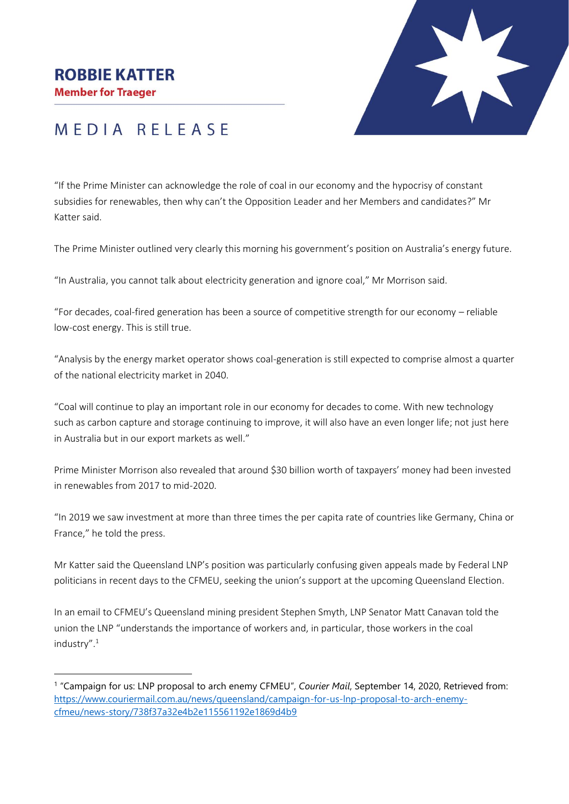### **ROBBIE KATTER**

**Member for Traeger** 



# MEDIA RELEASE

"If the Prime Minister can acknowledge the role of coal in our economy and the hypocrisy of constant subsidies for renewables, then why can't the Opposition Leader and her Members and candidates?" Mr Katter said.

The Prime Minister outlined very clearly this morning his government's position on Australia's energy future.

"In Australia, you cannot talk about electricity generation and ignore coal," Mr Morrison said.

"For decades, coal-fired generation has been a source of competitive strength for our economy – reliable low-cost energy. This is still true.

"Analysis by the energy market operator shows coal-generation is still expected to comprise almost a quarter of the national electricity market in 2040.

"Coal will continue to play an important role in our economy for decades to come. With new technology such as carbon capture and storage continuing to improve, it will also have an even longer life; not just here in Australia but in our export markets as well."

Prime Minister Morrison also revealed that around \$30 billion worth of taxpayers' money had been invested in renewables from 2017 to mid-2020.

"In 2019 we saw investment at more than three times the per capita rate of countries like Germany, China or France," he told the press.

Mr Katter said the Queensland LNP's position was particularly confusing given appeals made by Federal LNP politicians in recent days to the CFMEU, seeking the union's support at the upcoming Queensland Election.

In an email to CFMEU's Queensland mining president Stephen Smyth, LNP Senator Matt Canavan told the union the LNP "understands the importance of workers and, in particular, those workers in the coal industry".<sup>1</sup>

<sup>1</sup> "Campaign for us: LNP proposal to arch enemy CFMEU", *Courier Mail*, September 14, 2020, Retrieved from: [https://www.couriermail.com.au/news/queensland/campaign-for-us-lnp-proposal-to-arch-enemy](https://www.couriermail.com.au/news/queensland/campaign-for-us-lnp-proposal-to-arch-enemy-cfmeu/news-story/738f37a32e4b2e115561192e1869d4b9)[cfmeu/news-story/738f37a32e4b2e115561192e1869d4b9](https://www.couriermail.com.au/news/queensland/campaign-for-us-lnp-proposal-to-arch-enemy-cfmeu/news-story/738f37a32e4b2e115561192e1869d4b9)